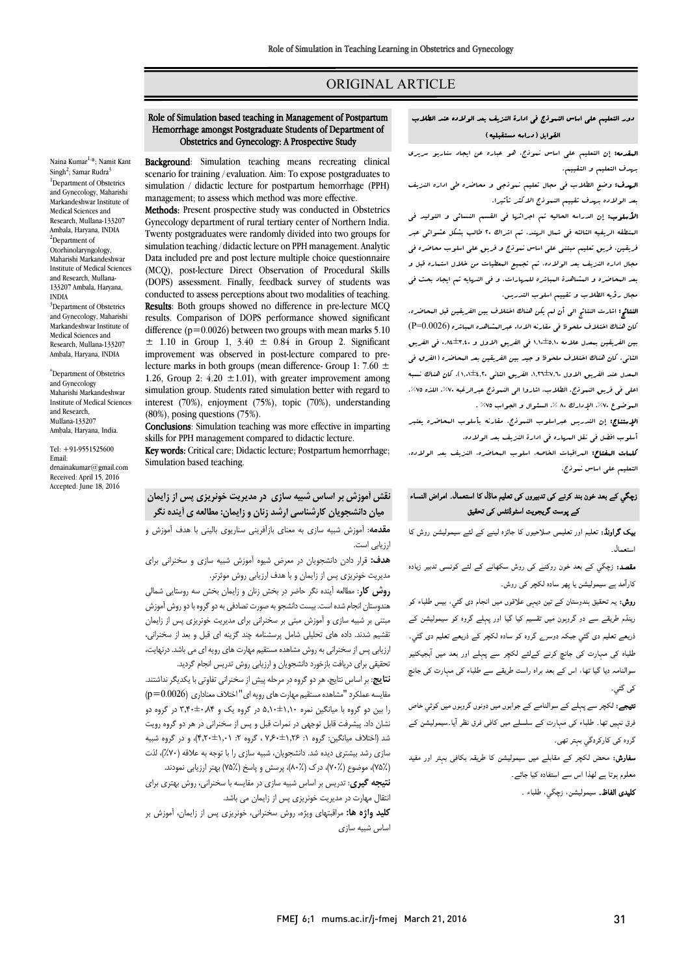# ORIGINAL ARTICLE

#### دور التعلیم علی اساس النموذج فی ادارة النزیف بعد الولاده عند الطلاب القوابل (دراسه مستقبلیه)

Ī 

 المقدمه: إن التعلیم علی اساس نموذج، هو عباره عن ایجاد سناریو سریري بهدف التعلیم و التقییم.

ا**م بدت.** وصلح الصرب <sub>می</sub> مبدل تثبیتم تنویجی و<br>بعد الولاده بهدف تقییم النبوذج الاکثر تأثیرا. **الهدف:** وضع الطلاب فی مجال تعلیم نـوذجی و محاضره طی اداره النزیف

.<br>ا**لأسلوب:** إن الدراسه الحالیه تم اجرائها فی القسم النسائی و التولید فی المنطقه الریفیه الثالثه فی شمال الهند. تم اشراك 20 طالب بشکل عشوائی عبر فریقین، فریق تعلیم مبتنی علی اساس نموذج و فریق علی اسلوب محاضره فی مجال اداره النزیف بعد الولاده. تم تجمیع المعطیات من خلال استماره قبل و بعد المحاضره و المشاهدة المباشره للمهارات. و فی النهایه تم ایجاد بحث فی مجال رؤیه الطلاب و تقییم اسلوب التدریس.

 النتائج: اشارت النتائج الی أن لم یکن هناك اختلاف بین الفریقین قبل المحاضره. کان هناك اختلاف ملحوظ فی مقارنه الاداء عبرالمشاهده المباشره (0.0026=P( بین الفریقین بمعدل علامه 1,10±5,10 فی الفریق الاول و 0,84±3,40 فی الفریق الثانی. کان هناك اختلاف ملحوظ و جید بین الفریقین بعد المحاضره (الفرق فی المعدل عند الفریق الاول ،1,26±7,60 الفریق الثانی 1,01±4,20). کان هناك نسبه اعلی فی فریق النموذج. الطلاب، اثاروا الی النموذج عبرالرغبه ۷۰%، اللذه ۷۵%.<br>. الموضوع ،٧٪، الإدارك ٨٠ %، السئوال و الجواب ٧٥% .<br>.

ا**لإستناج:** إن التدریس عبراسلوب النموذج، مقارنه بأسلوب البحاضره یعتبر<br>. أسلوب افضل فی نقل المهاره فی ادارة النزیف بعد الولاده.

اسوب المس <sub>کل</sub> مس المرادر المراد، المریب بعد الوالادا.<br>**کلمات البقتاح:** البراقبات الخاصه، اسلوب البحاضره، النزیف بعد الولاده، التعلیم علی اساس نموذج.

# زچگي کے بعد خون بند کرنے کی تدبیروں کی تعلیم ماڈل کا استعمال۔ امراض النساء کے پوست گریجویت اسٹوڈنٹس کی تحقیق

**یک گراونڈ:** تعلیم اور تعلیمی صلاحیوں کا جائزہ لینے کے لئے سیمولیشن روش کا ال۔

**نقصد:** زچگي کے بعد خون روکنے کی روش سکھانے کے لئے کونسی تدبیر زیادہ ۔<br>کارآمد ہے سیمولیشن یا پھر سادہ لکچر ک*ی* روش۔

ر**وش:** یہ تحقیق ہندوستان کے تین دیہٖی علاقوں میں انجام دی گئي، بیس طلباء کو ۔<br>رینڈم طریقے سے دو گروہون میں تقسیم کیا گیا اور پہلے گروہ کو سیمولیشن کے .<br>ذریعے تعلیم دی گئي جبکہ دوسر<sub>ے</sub> گروہ کو سادہ لکچر کے ذریعے تعلیم دی گئي۔ ۔<br>طلباہ کی مہارت کی جانچ کرنے کےلئے لکچر سے پہلے اور بعد میں آبجیکٹیو j سوالنامہ دیا گیا تھا، اس کے بعد براہ راست طریقے سے طلباء کی مہارت کی جانچ<br>بر گ کی گئی۔

ں۔<br>**تیجے:** لکچر سے پہلے کے سوالنامے کے جوابوں میں دونوں گروہوں میں کوئي خاص J فرق نہیں تھا۔ طلباء کی مہارت کے سلسلے میں کافی فرق نظر آیا۔سیمولیشن کے<br>۔۔۔۔۔۔۔۔۔۔۔۔ گروہ کی کارکردگي بہتر تھی۔<br>.

**سفارش:** محض لکچر کے مقابلے میں سیمولیشن کا طریقہ بکافی بہتر اور مفید<br>۔ َب معلوم ہوتا ہے لھذا اس سے استفادہ کیا جائے۔

**کليدی الفاظ۔** سيموليشن، زچگي، طلباء <sub>-</sub><br>.

# Role of Simulation based teaching in Management of Postpartum Hemorrhage amongst Postgraduate Students of Department of Obstetrics and Gynecology: A Prospective Study

Ī 

Background: Simulation teaching means recreating clinical scenario for training / evaluation. Aim: To expose postgraduates to management; to assess which method was more effective. simulation / didactic lecture for postpartum hemorrhage (PPH)

Methods: Present prospective study was conducted in Obstetrics Gynecology department of rural tertiary center of Northern India. simulation teaching / didactic lecture on PPH management. Analytic Data included pre and post lecture multiple choice questionnaire (MCQ), post-lecture Difect Observation of Frocedural Skins<br>(DOPS) assessment. Finally, feedback survey of students was conducted to assess perceptions about two modalities of teaching. Results: Both groups showed no difference in pre-lecture MCQ difference  $(p=0.0026)$  between two groups with mean marks  $5.10$  $\pm$  1.10 in Group 1, 3.40  $\pm$  0.84 in Group 2. Significant miprovement was observed in post-lecture compared to pre-<br>lecture marks in both groups (mean difference- Group 1: 7.60  $\pm$ 1.26, Group 2:  $4.20 \pm 1.01$ ), with greater improvement among simulation group. Students rated simulation better with regard to interest (70%), enjoyment (75%), topic (70%), understanding (80%), posing questions (75%). Twenty postgraduates were randomly divided into two groups for (MCQ), post-lecture Direct Observation of Procedural Skills results. Comparison of DOPS performance showed significant improvement was observed in post-lecture compared to pre-(80%), posing questions (75%).

 Conclusions: Simulation teaching was more effective in imparting skills for PPH management compared to didactic lecture.

skills for FFFI inanagement compared to thuactic lecture.<br>**Key words:** Critical care; Didactic lecture; Postpartum hemorrhage; Simulation based teaching.

# **نقش آموزش بر اساس شبیه سازي در مدیریت خونریزي پس از زایمان میان دانشجویان کارشناسی ارشد زنان و زایمان: مطالعه ي آینده نگر**

 **مقدمه**: آموزش شبیه سازي به معناي بازآفرینی سناریوي بالینی با هدف آموزش و ارزیابی است.

 **هدف:** قرار دادن دانشجویان در معرض شیوه آموزش شبیه سازي و سخنرانی براي مدیریت خونریزي پس از زایمان و با هدف ارزیابی روش موثرتر.

 **روش کار**: مطالعه آینده نگر حاضر در بخش زنان و زایمان بخش سه روستایی شمالی مسوسس ،جمع سده ،ست. پیست د،ستبو به سورت صددی به دو تروب به دو روس ،سورس<br>مبتنی بر شبیه سازی و آموزش مبتی بر سخنرانی برای مدیریت خونریزی پس از زایمان تقشیم شدند. داده هاي تحلیلی شامل پرسشنامه چند گزینه اي قبل و بعد از سخنرانی، ارزیابی پس از سخنرانی به روش مشاهده مستقیم مهارت هاي رویه اي می باشد. درنهایت، تحقیقی براي دریافت بازخورد دانشجویان و ارزیابی روش تدریس انجام گردید. هندوستان انجام شده است. بیست دانشجو به صورت تصادفی به دو گروه با دو روش آموزش

 **نتایج**: بر اساس نتایج، هر دو گروه در مرحله پیش از سخنرانی تفاوتی با یکدیگر نداشتند. مقایسه عملکرد "مشاهده مستقیم مهارت هاي رویه اي" اختلاف معناداري (0.0026=p( را بین دو گروه با میانگین نمره 5,10±1,10 در گروه یک و 3,40±0,84 در گروه دو شد (اختلاف میانگین: گروه :1 7,60±1,26 ، گروه :2 4,20±1,01)، و در گروه شبیه سازي رشد بیشتري دیده شد. دانشجویان، شبیه سازي را با توجه به علاقه (%70)، لذت (75%)، موضوع (70%)، درك (80%)، پرسش و پاسخ (75%) بهتر ارزیابی نمودند. نشان داد. پیشرفت قابل توجهی در نمرات قبل و پس از سخنرانی در هر دو گروه رویت

 **نتیجه گیري**: تدریس بر اساس شبیه سازي در مقایسه با سخنرانی، روش بهتري براي انتقال مهارت در مدیریت خونریزي پس از زایمان می باشد.

 **کلید واژه ها:** مراقبتهاي ویژه، روش سخنرانی، خونریزي پس از زایمان، آموزش بر اساس شبیه سازي

Naina Kumar<sup>1,</sup>\*; Namit Kant Singh<sup>2</sup>; Samar Rudra<sup>3</sup><br><sup>1</sup>Department of Obste <sup>1</sup>Department of Obstetrics and Gynecology, Maharishi Markandeshwar Institute of Medical Sciences and Research, Mullana-133207 Ambala, Haryana, INDIA 2 <sup>2</sup>Department of Otorhinolaryngology, Maharishi Markandeshwar Institute of Medical Sciences and Research, Mullana-133207 Ambala, Haryana,

INDIA<br><sup>3</sup>Department of Obstetrics and Gynecology, Maharishi Markandeshwar Institute of Medical Sciences and Research, Mullana-133207 Ambala, Haryana, INDIA

\* Department of Obstetrics and Gynecology Maharishi Markandeshwar Institute of Medical Sciences and Research, Mullana-133207 Ambala, Haryana, India.

Tel: +91-9551525600 Email: drnainakumar@gmail.com Received: April 15, 2016 Accepted: June 18, 2016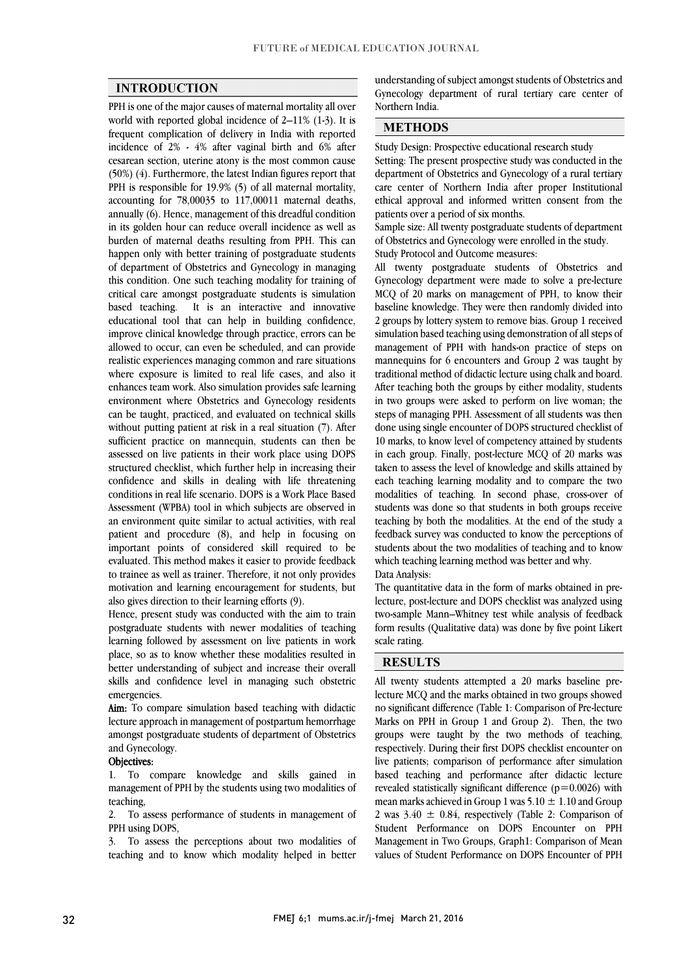$\overline{a}$  $\overline{a}$ 

#### **INTRODUCTION**

 PPH is one of the major causes of maternal mortality all over world with reported global incidence of 2–11% (1-3). It is incidence of 2% - 4% after vaginal birth and 6% after cesarean section, uterine atony is the most common cause (50%) (4). Furthermore, the latest Indian figures report that PPH is responsible for 19.9% (5) of all maternal mortality, annually (6). Hence, management of this dreadful condition in its golden hour can reduce overall incidence as well as burden of maternal deaths resulting from PPH. This can happen only with better training of postgraduate students this condition. One such teaching modality for training of critical care amongst postgraduate students is simulation based teaching. It is an interactive and innovative improve clinical knowledge through practice, errors can be allowed to occur, can even be scheduled, and can provide realistic experiences managing common and rare situations where exposure is limited to real life cases, and also it environment where Obstetrics and Gynecology residents can be taught, practiced, and evaluated on technical skills without putting patient at risk in a real situation (7). After sufficient practice on mannequin, students can then be assessed on the patients in their work place using BOTS<br>structured checklist, which further help in increasing their confidence and skills in dealing with life threatening conditions in real life scenario. DOPS is a Work Place Based Assessment (WPBA) tool in which subjects are observed in patient and procedure (8), and help in focusing on important points of considered skill required to be evaluated. This method makes it easier to provide feedback to trainee as well as trainer. Therefore, it not only provides motivation and learning encouragement for students, but<br>also gives direction to their learning efforts (9) frequent complication of delivery in India with reported accounting for 78,00035 to 117,00011 maternal deaths, of department of Obstetrics and Gynecology in managing educational tool that can help in building confidence, enhances team work. Also simulation provides safe learning assessed on live patients in their work place using DOPS an environment quite similar to actual activities, with real also gives direction to their learning efforts (9).

 Hence, present study was conducted with the aim to train postgraduate students with newer modalities of teaching place, so as to know whether these modalities resulted in better understanding of subject and increase their overall skills and confidence level in managing such obstetric learning followed by assessment on live patients in work emergencies.

**RIII:** To compare simulation based reaching with didactic<br>lecture approach in management of postpartum hemorrhage amongst postgraduate students of department of Obstetrics Aim: To compare simulation based teaching with didactic and Gynecology.

#### Objectives:

**Objectives:**<br>1. To compare knowledge and skills gained in management of PPH by the students using two modalities of teaching,

 2. To assess performance of students in management of PPH using DOPS,

PPH using DOPS,<br>3. To assess the perceptions about two modalities of teaching and to know which modality helped in better

 Gynecology department of rural tertiary care center of understanding of subject amongst students of Obstetrics and Northern India.

#### **METHODS**

Study Design: Prospective educational research study

 Setting: The present prospective study was conducted in the department of Obstetrics and Gynecology of a rural tertiary care center of Northern India after proper Institutional ethical approval and informed written consent from the patients over a period of six months. patients over a period of six months.

 Sample size: All twenty postgraduate students of department of Obstetrics and Gynecology were enrolled in the study. Study Protocol and Outcome measures:

 All twenty postgraduate students of Obstetrics and Gynecology department were made to solve a pre-lecture MCQ of 20 marks on management of PPH, to know their baseline knowledge. They were then randomly divided into simulation based teaching using demonstration of all steps of management of PPH with hands-on practice of steps on mannequins for 6 encounters and Group 2 was taught by traditional method of didactic lecture using chalk and board. in two groups were asked to perform on live woman; the steps of managing PPH. Assessment of all students was then done using single encounter of DOPS structured checklist of 10 marks, to know level of competency attained by students taken to assess the level of knowledge and skills attained by each teaching learning modality and to compare the two modalities of teaching. In second phase, cross-over of students was done so that students in both groups receive feedback survey was conducted to know the perceptions of students about the two modalities of teaching and to know 2 groups by lottery system to remove bias. Group 1 received After teaching both the groups by either modality, students in each group. Finally, post-lecture MCQ of 20 marks was teaching by both the modalities. At the end of the study a which teaching learning method was better and why.

Data Analysis:

 The quantitative data in the form of marks obtained in pre- lecture, post-lecture and DOPS checklist was analyzed using two-sample Mann–Whitney test while analysis of feedback form results (Qualitative data) was done by five point Likert  $\overline{a}$ scale rating.

 $\overline{a}$ 

### **RESULTS**

 All twenty students attempted a 20 marks baseline pre- lecture MCQ and the marks obtained in two groups showed Marks on PPH in Group 1 and Group 2). Then, the two groups were taught by the two methods of teaching, respectively. During their first DOPS checklist encounter on live patients; comparison of performance after simulation revealed statistically significant difference (p=0.0026) with mean marks achieved in Group 1 was 5.10  $\pm$  1.10 and Group 2 was  $3.40 \pm 0.84$ , respectively (Table 2: Comparison of Student Performance on DOPS Encounter on PPH values of Student Performance on DOPS Encounter of PPH no significant difference (Table 1: Comparison of Pre-lecture based teaching and performance after didactic lecture Management in Two Groups, Graph1: Comparison of Mean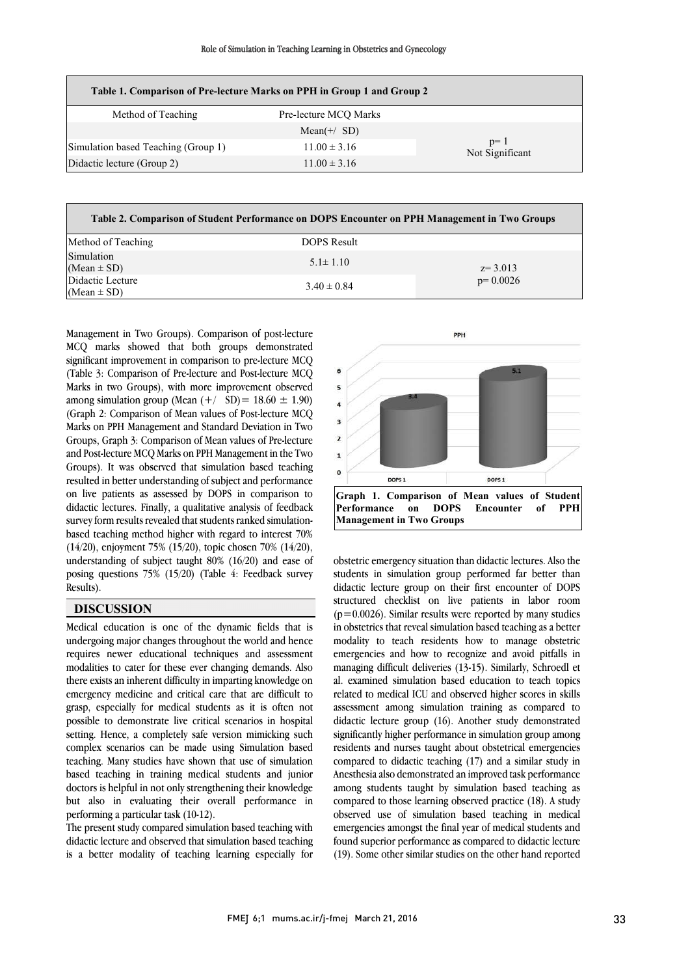| Table 1. Comparison of Pre-lecture Marks on PPH in Group 1 and Group 2 |                       |                          |  |  |  |  |
|------------------------------------------------------------------------|-----------------------|--------------------------|--|--|--|--|
| Method of Teaching                                                     | Pre-lecture MCO Marks |                          |  |  |  |  |
|                                                                        | Mean(+/ $SD$ )        |                          |  |  |  |  |
| Simulation based Teaching (Group 1)                                    | $11.00 \pm 3.16$      | $p=1$<br>Not Significant |  |  |  |  |
| Didactic lecture (Group 2)                                             | $11.00 \pm 3.16$      |                          |  |  |  |  |
|                                                                        |                       |                          |  |  |  |  |

| Table 2. Comparison of Student Performance on DOPS Encounter on PPH Management in Two Groups |                 |            |  |  |  |  |  |
|----------------------------------------------------------------------------------------------|-----------------|------------|--|--|--|--|--|
| Method of Teaching                                                                           | DOPS Result     |            |  |  |  |  |  |
| Simulation<br>$(Mean \pm SD)$                                                                | $5.1 \pm 1.10$  | $z=3.013$  |  |  |  |  |  |
| Didactic Lecture<br>(Mean $\pm$ SD)                                                          | $3.40 \pm 0.84$ | $p=0.0026$ |  |  |  |  |  |

 Management in Two Groups). Comparison of post-lecture MCQ marks showed that both groups demonstrated significant improvement in comparison to pre-lecture MCQ (Table 3: Comparison of Pre-lecture and Post-lecture MCQ  $\frac{1}{2}$  among simulation group (Mean  $(+/8D) = 18.60 \pm 1.90$ ) (Graph 2: Comparison of Mean values of Post-lecture MCQ Marks on PPH Management and Standard Deviation in Two Groups, Graph 3: Comparison of Mean values of Pre-lecture Groups). It was observed that simulation based teaching resulted in better understanding of subject and performance on live patients as assessed by DOPS in comparison to didactic lectures. Finally, a qualitative analysis of feedback based teaching method higher with regard to interest 70% (14/20), enjoyment 75% (15/20), topic chosen 70% (14/20), understanding of subject taught 80% (16/20) and ease of posing questions 75% (15/20) (Table 4: Feedback survey l<br>I Marks in two Groups), with more improvement observed and Post-lecture MCQ Marks on PPH Management in the Two survey form results revealed that students ranked simulation-Results).

#### i  $\overline{\phantom{0}}$ **DISCUSSION**

 Medical education is one of the dynamic fields that is requires newer educational techniques and assessment modalities to cater for these ever changing demands. Also there exists an inherent difficulty in imparting knowledge on emergency medicine and critical care that are difficult to possible to demonstrate live critical scenarios in hospital .<br>setting. Hence, a completely safe version mimicking such complex scenarios can be made using Simulation based teaching. Many studies have shown that use of simulation doctors is helpful in not only strengthening their knowledge but also in evaluating their overall performance in undergoing major changes throughout the world and hence grasp, especially for medical students as it is often not based teaching in training medical students and junior performing a particular task (10-12).

 The present study compared simulation based teaching with is a better modality of teaching learning especially for didactic lecture and observed that simulation based teaching



 obstetric emergency situation than didactic lectures. Also the didactic lecture group on their first encounter of DOPS structured checklist on live patients in labor room  $(p=0.0026)$ . Similar results were reported by many studies in obstetrics that reveal simulation based teaching as a better emergencies and how to recognize and avoid pitfalls in managing difficult deliveries (13-15). Similarly, Schroedl et al. examined simulation based education to teach topics related to medical ICU and observed higher scores in skills didactic lecture group (16). Another study demonstrated significantly higher performance in simulation group among residents and nurses taught about obstetrical emergencies compared to didactic teaching (17) and a similar study in among students taught by simulation based teaching as compared to those learning observed practice (18). A study observed use of simulation based teaching in medical emergencies amongst the final year of medical students and<br>famed measurements and conservated to did still between (19). Some other similar studies on the other hand reported students in simulation group performed far better than modality to teach residents how to manage obstetric assessment among simulation training as compared to Anesthesia also demonstrated an improved task performance found superior performance as compared to didactic lecture

L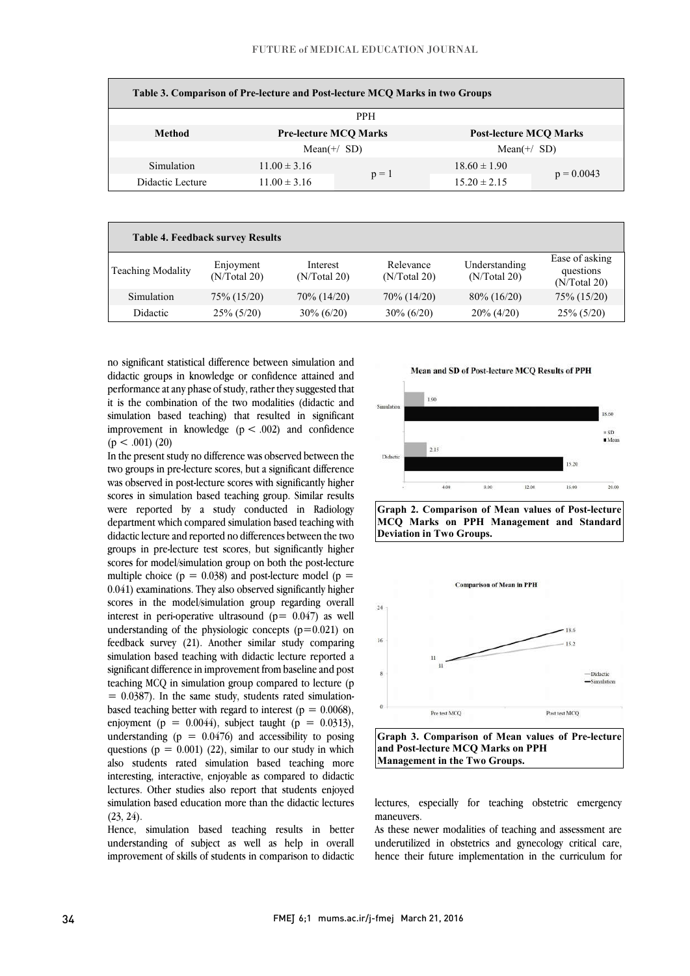| Table 3. Comparison of Pre-lecture and Post-lecture MCQ Marks in two Groups |                  |                              |                  |                               |  |
|-----------------------------------------------------------------------------|------------------|------------------------------|------------------|-------------------------------|--|
| <b>PPH</b>                                                                  |                  |                              |                  |                               |  |
| Method                                                                      |                  | <b>Pre-lecture MCO Marks</b> |                  | <b>Post-lecture MCO Marks</b> |  |
|                                                                             |                  | Mean(+/ $SD$ )               |                  | Mean $(+/SD)$                 |  |
| Simulation                                                                  | $11.00 \pm 3.16$ |                              | $18.60 \pm 1.90$ |                               |  |
| Didactic Lecture                                                            | $11.00 \pm 3.16$ | $p = 1$                      | $15.20 \pm 2.15$ | $p = 0.0043$                  |  |

|                          | <b>Table 4. Feedback survey Results</b> |                          |                           |                               |                                             |
|--------------------------|-----------------------------------------|--------------------------|---------------------------|-------------------------------|---------------------------------------------|
| <b>Teaching Modality</b> | Enjoyment<br>(N/Total 20)               | Interest<br>(N/Total 20) | Relevance<br>(N/Total 20) | Understanding<br>(N/Total 20) | Ease of asking<br>questions<br>(N/Total 20) |
| Simulation               | 75% (15/20)                             | 70% (14/20)              | 70\% (14/20)              | $80\% (16/20)$                | 75% (15/20)                                 |
| Didactic                 | $25\% (5/20)$                           | $30\% (6/20)$            | $30\% (6/20)$             | $20\% (4/20)$                 | $25\% (5/20)$                               |
|                          |                                         |                          |                           |                               |                                             |

 no significant statistical difference between simulation and didactic groups in knowledge or confidence attained and performance at any phase of study, rather they suggested that simulation based teaching) that resulted in significant improvement in knowledge  $(p < .002)$  and confidence it is the combination of the two modalities (didactic and  $(p < .001)$  (20)

 two groups in pre-lecture scores, but a significant difference was observed in post-lecture scores with significantly higher scores in simulation based teaching group. Similar results were reported by a study conducted in Radiology department which compared simulation based teaching with groups in pre-lecture test scores, but significantly higher scores for model/simulation group on both the post-lecture multiple choice ( $p = 0.038$ ) and post-lecture model ( $p =$  scores in the model/simulation group regarding overall interest in peri-operative ultrasound  $(p= 0.047)$  as well understanding of the physiologic concepts (p=0.021) on feedback survey (21). Another similar study comparing simulation based teaching with didactle rectare reported a significant difference in improvement from baseline and post teaching MCQ in simulation group compared to lecture (p  $= 0.0387$ ). In the same study, students rated simulationbased teaching better with regard to interest ( $p = 0.0068$ ), understanding  $(p = 0.0476)$  and accessibility to posing questions ( $p = 0.001$ ) (22), similar to our study in which also students rated simulation based teaching more interesting, interactive, enjoyable as compared to didactic simulation based education more than the didactic lectures In the present study no difference was observed between the didactic lecture and reported no differences between the two 0.041) examinations. They also observed significantly higher simulation based teaching with didactic lecture reported a enjoyment (p =  $0.0044$ ), subject taught (p =  $0.0313$ ), lectures. Other studies also report that students enjoyed  $(23, 24)$ .

 Hence, simulation based teaching results in better improvement of skills of students in comparison to didactic understanding of subject as well as help in overall









 **Graph 3. Comparison of Mean values of Pre-lecture**  L **and Post-lecture MCQ Marks on PPH Management in the Two Groups.**

 lectures, especially for teaching obstetric emergency maneuvers.

 As these newer modalities of teaching and assessment are hence their future implementation in the curriculum for underutilized in obstetrics and gynecology critical care,